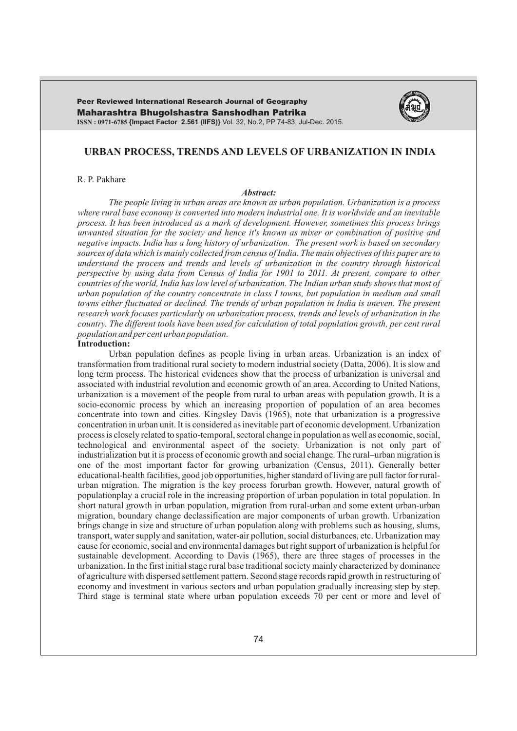Maharashtra Bhugolshastra Sanshodhan Patrika **ISSN : 0971-6785 {Impact Factor 2.561 (IIFS)}** Vol. 32, No.2, PP 74-83, Jul-Dec. 2015. Peer Reviewed International Research Journal of Geography



# **URBAN PROCESS, TRENDS AND LEVELS OF URBANIZATION IN INDIA**

### R. P. Pakhare

#### *Abstract:*

*The people living in urban areas are known as urban population. Urbanization is a process where rural base economy is converted into modern industrial one. It is worldwide and an inevitable process. It has been introduced as a mark of development. However, sometimes this process brings unwanted situation for the society and hence it's known as mixer or combination of positive and negative impacts. India has a long history of urbanization. The present work is based on secondary sources of data which is mainly collected from census of India. The main objectives of this paper are to understand the process and trends and levels of urbanization in the country through historical perspective by using data from Census of India for 1901 to 2011. At present, compare to other countries of the world, India has low level of urbanization. The Indian urban study shows that most of urban population of the country concentrate in class I towns, but population in medium and small towns either fluctuated or declined. The trends of urban population in India is uneven. The present research work focuses particularly on urbanization process, trends and levels of urbanization in the country. The different tools have been used for calculation of total population growth, per cent rural population and per cent urban population.* 

#### **Introduction:**

Urban population defines as people living in urban areas. Urbanization is an index of transformation from traditional rural society to modern industrial society (Datta, 2006). It is slow and long term process. The historical evidences show that the process of urbanization is universal and associated with industrial revolution and economic growth of an area. According to United Nations, urbanization is a movement of the people from rural to urban areas with population growth. It is a socio-economic process by which an increasing proportion of population of an area becomes concentrate into town and cities. Kingsley Davis (1965), note that urbanization is a progressive concentration in urban unit. It is considered as inevitable part of economic development. Urbanization process is closely related to spatio-temporal, sectoral change in population as well as economic, social, technological and environmental aspect of the society. Urbanization is not only part of industrialization but it is process of economic growth and social change. The rural–urban migration is one of the most important factor for growing urbanization (Census, 2011). Generally better educational-health facilities, good job opportunities, higher standard of living are pull factor for ruralurban migration. The migration is the key process forurban growth. However, natural growth of populationplay a crucial role in the increasing proportion of urban population in total population. In short natural growth in urban population, migration from rural-urban and some extent urban-urban migration, boundary change declassification are major components of urban growth. Urbanization brings change in size and structure of urban population along with problems such as housing, slums, transport, water supply and sanitation, water-air pollution, social disturbances, etc. Urbanization may cause for economic, social and environmental damages but right support of urbanization is helpful for sustainable development. According to Davis (1965), there are three stages of processes in the urbanization. In the first initial stage rural base traditional society mainly characterized by dominance of agriculture with dispersed settlement pattern. Second stage records rapid growth in restructuring of economy and investment in various sectors and urban population gradually increasing step by step. Third stage is terminal state where urban population exceeds 70 per cent or more and level of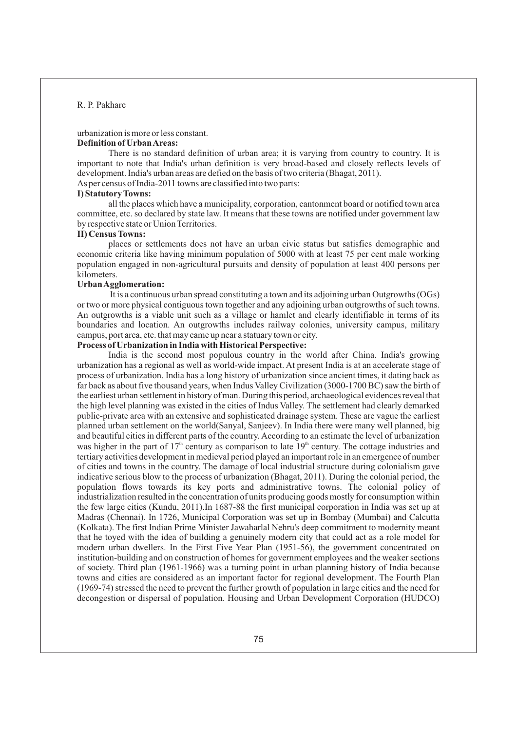urbanization is more or less constant. **Definition of Urban Areas:**

There is no standard definition of urban area; it is varying from country to country. It is important to note that India's urban definition is very broad-based and closely reflects levels of development. India's urban areas are defied on the basis of two criteria (Bhagat, 2011).

As per census of India-2011 towns are classified into two parts:

# **I) Statutory Towns:**

all the places which have a municipality, corporation, cantonment board or notified town area committee, etc. so declared by state law. It means that these towns are notified under government law by respective state or Union Territories.

### **II) Census Towns:**

places or settlements does not have an urban civic status but satisfies demographic and economic criteria like having minimum population of 5000 with at least 75 per cent male working population engaged in non-agricultural pursuits and density of population at least 400 persons per kilometers.

### **Urban Agglomeration:**

It is a continuous urban spread constituting a town and its adjoining urban Outgrowths (OGs) or two or more physical contiguous town together and any adjoining urban outgrowths of such towns. An outgrowths is a viable unit such as a village or hamlet and clearly identifiable in terms of its boundaries and location. An outgrowths includes railway colonies, university campus, military campus, port area, etc. that may came up near a statuary town or city.

# **Process of Urbanization in India with Historical Perspective:**

India is the second most populous country in the world after China. India's growing urbanization has a regional as well as world-wide impact. At present India is at an accelerate stage of process of urbanization. India has a long history of urbanization since ancient times, it dating back as far back as about five thousand years, when Indus Valley Civilization (3000-1700 BC) saw the birth of the earliest urban settlement in history of man. During this period, archaeological evidences reveal that the high level planning was existed in the cities of Indus Valley. The settlement had clearly demarked public-private area with an extensive and sophisticated drainage system. These are vague the earliest planned urban settlement on the world(Sanyal, Sanjeev). In India there were many well planned, big and beautiful cities in different parts of the country. According to an estimate the level of urbanization was higher in the part of  $17<sup>th</sup>$  century as comparison to late  $19<sup>th</sup>$  century. The cottage industries and tertiary activities development in medieval period played an important role in an emergence of number of cities and towns in the country. The damage of local industrial structure during colonialism gave indicative serious blow to the process of urbanization (Bhagat, 2011). During the colonial period, the population flows towards its key ports and administrative towns. The colonial policy of industrialization resulted in the concentration of units producing goods mostly for consumption within the few large cities (Kundu, 2011).In 1687-88 the first municipal corporation in India was set up at Madras (Chennai). In 1726, Municipal Corporation was set up in Bombay (Mumbai) and Calcutta (Kolkata). The first Indian Prime Minister Jawaharlal Nehru's deep commitment to modernity meant that he toyed with the idea of building a genuinely modern city that could act as a role model for modern urban dwellers. In the First Five Year Plan (1951-56), the government concentrated on institution-building and on construction of homes for government employees and the weaker sections of society. Third plan (1961-1966) was a turning point in urban planning history of India because towns and cities are considered as an important factor for regional development. The Fourth Plan (1969-74) stressed the need to prevent the further growth of population in large cities and the need for decongestion or dispersal of population. Housing and Urban Development Corporation (HUDCO)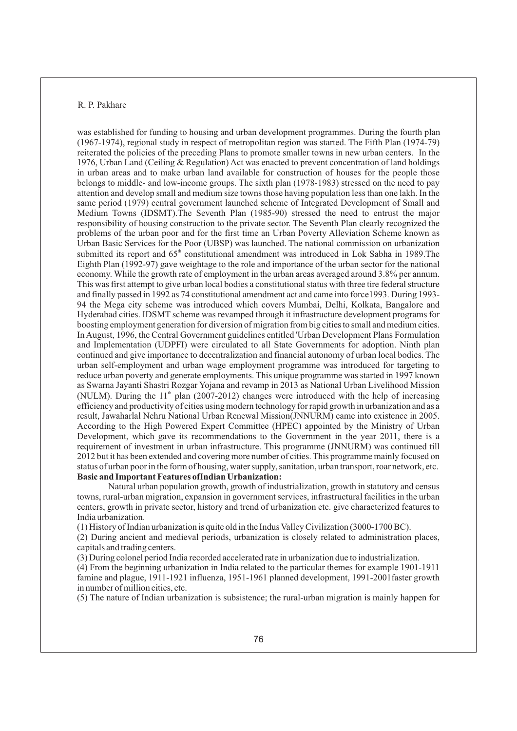was established for funding to housing and urban development programmes. During the fourth plan (1967-1974), regional study in respect of metropolitan region was started. The Fifth Plan (1974-79) reiterated the policies of the preceding Plans to promote smaller towns in new urban centers. In the 1976, Urban Land (Ceiling & Regulation) Act was enacted to prevent concentration of land holdings in urban areas and to make urban land available for construction of houses for the people those belongs to middle- and low-income groups. The sixth plan (1978-1983) stressed on the need to pay attention and develop small and medium size towns those having population less than one lakh. In the same period (1979) central government launched scheme of Integrated Development of Small and Medium Towns (IDSMT).The Seventh Plan (1985-90) stressed the need to entrust the major responsibility of housing construction to the private sector. The Seventh Plan clearly recognized the problems of the urban poor and for the first time an Urban Poverty Alleviation Scheme known as Urban Basic Services for the Poor (UBSP) was launched. The national commission on urbanization submitted its report and  $65<sup>th</sup>$  constitutional amendment was introduced in Lok Sabha in 1989. The Eighth Plan (1992-97) gave weightage to the role and importance of the urban sector for the national economy. While the growth rate of employment in the urban areas averaged around 3.8% per annum. This was first attempt to give urban local bodies a constitutional status with three tire federal structure and finally passed in 1992 as 74 constitutional amendment act and came into force1993. During 1993- 94 the Mega city scheme was introduced which covers Mumbai, Delhi, Kolkata, Bangalore and Hyderabad cities. IDSMT scheme was revamped through it infrastructure development programs for boosting employment generation for diversion of migration from big cities to small and medium cities. In August, 1996, the Central Government guidelines entitled 'Urban Development Plans Formulation and Implementation (UDPFI) were circulated to all State Governments for adoption. Ninth plan continued and give importance to decentralization and financial autonomy of urban local bodies. The urban self-employment and urban wage employment programme was introduced for targeting to reduce urban poverty and generate employments. This unique programme was started in 1997 known as Swarna Jayanti Shastri Rozgar Yojana and revamp in 2013 as National Urban Livelihood Mission (NULM). During the  $11<sup>th</sup>$  plan (2007-2012) changes were introduced with the help of increasing efficiency and productivity of cities using modern technology for rapid growth in urbanization and as a result, Jawaharlal Nehru National Urban Renewal Mission(JNNURM) came into existence in 2005. According to the High Powered Expert Committee (HPEC) appointed by the Ministry of Urban Development, which gave its recommendations to the Government in the year 2011, there is a requirement of investment in urban infrastructure. This programme (JNNURM) was continued till 2012 but it has been extended and covering more number of cities. This programme mainly focused on status of urban poor in the form of housing, water supply, sanitation, urban transport, roar network, etc. **Basic and Important Features ofIndian Urbanization:**

Natural urban population growth, growth of industrialization, growth in statutory and census towns, rural-urban migration, expansion in government services, infrastructural facilities in the urban centers, growth in private sector, history and trend of urbanization etc. give characterized features to India urbanization.

(1) History of Indian urbanization is quite old in the Indus Valley Civilization (3000-1700 BC).

(2) During ancient and medieval periods, urbanization is closely related to administration places, capitals and trading centers.

(3) During colonel period India recorded accelerated rate in urbanization due to industrialization. (4) From the beginning urbanization in India related to the particular themes for example 1901-1911 famine and plague, 1911-1921 influenza, 1951-1961 planned development, 1991-2001faster growth in number of million cities, etc.

(5) The nature of Indian urbanization is subsistence; the rural-urban migration is mainly happen for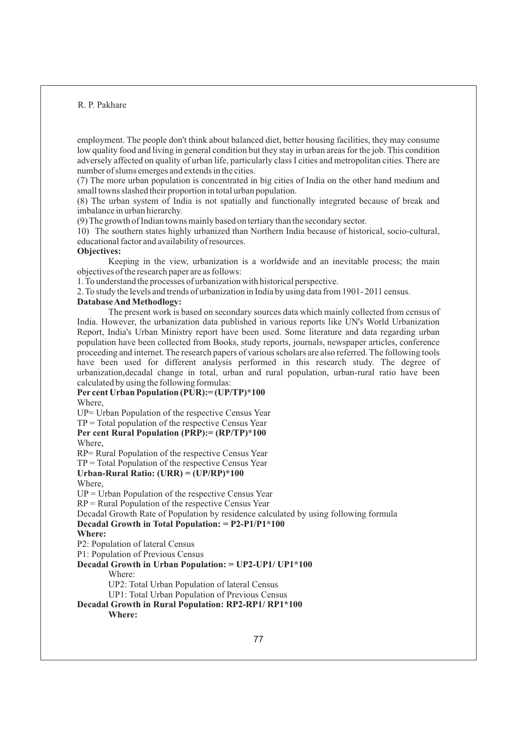employment. The people don't think about balanced diet, better housing facilities, they may consume low quality food and living in general condition but they stay in urban areas for the job. This condition adversely affected on quality of urban life, particularly class I cities and metropolitan cities. There are number of slums emerges and extends in the cities.

(7) The more urban population is concentrated in big cities of India on the other hand medium and small towns slashed their proportion in total urban population.

(8) The urban system of India is not spatially and functionally integrated because of break and imbalance in urban hierarchy.

(9) The growth of Indian towns mainly based on tertiary than the secondary sector.

10) The southern states highly urbanized than Northern India because of historical, socio-cultural, educational factor and availability of resources.

#### **Objectives:**

Keeping in the view, urbanization is a worldwide and an inevitable process; the main objectives of the research paper are as follows:

1. To understand the processes of urbanization with historical perspective.

2. To study the levels and trends of urbanization in India by using data from 1901- 2011 census.

### **Database And Methodlogy:**

The present work is based on secondary sources data which mainly collected from census of India. However, the urbanization data published in various reports like UN's World Urbanization Report, India's Urban Ministry report have been used. Some literature and data regarding urban population have been collected from Books, study reports, journals, newspaper articles, conference proceeding and internet. The research papers of various scholars are also referred. The following tools have been used for different analysis performed in this research study. The degree of urbanization,decadal change in total, urban and rural population, urban-rural ratio have been calculated by using the following formulas:

## **Per cent Urban Population (PUR):= (UP/TP)\*100** Where, UP= Urban Population of the respective Census Year  $TP = Total population of the respective Census Year$ **Per cent Rural Population (PRP):= (RP/TP)\*100** Where, RP= Rural Population of the respective Census Year  $TP = Total Population of the respective Census Year$ **Urban-Rural Ratio: (URR) = (UP/RP)\*100** Where,  $UP = Urban Population of the respective Census Year$  $RP =$  Rural Population of the respective Census Year Decadal Growth Rate of Population by residence calculated by using following formula **Decadal Growth in Total Population: = P2-P1/P1\*100 Where:** P2: Population of lateral Census P1: Population of Previous Census **Decadal Growth in Urban Population: = UP2-UP1/ UP1\*100**  Where: UP2: Total Urban Population of lateral Census UP1: Total Urban Population of Previous Census **Decadal Growth in Rural Population: RP2-RP1/ RP1\*100 Where:**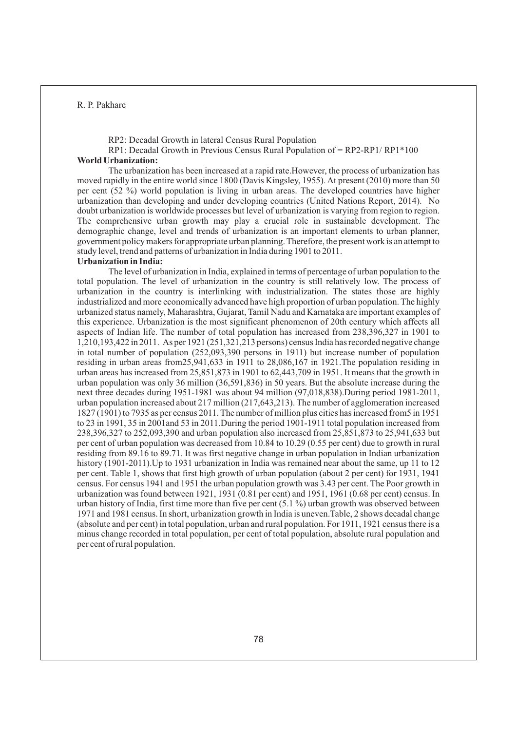RP2: Decadal Growth in lateral Census Rural Population

RP1: Decadal Growth in Previous Census Rural Population of = RP2-RP1/ RP1\*100 **World Urbanization:** 

The urbanization has been increased at a rapid rate.However, the process of urbanization has moved rapidly in the entire world since 1800 (Davis Kingsley, 1955). At present (2010) more than 50 per cent (52 %) world population is living in urban areas. The developed countries have higher urbanization than developing and under developing countries (United Nations Report, 2014). No doubt urbanization is worldwide processes but level of urbanization is varying from region to region. The comprehensive urban growth may play a crucial role in sustainable development. The demographic change, level and trends of urbanization is an important elements to urban planner, government policy makers for appropriate urban planning. Therefore, the present work is an attempt to study level, trend and patterns of urbanization in India during 1901 to 2011.

### **Urbanization in India:**

The level of urbanization in India, explained in terms of percentage of urban population to the total population. The level of urbanization in the country is still relatively low. The process of urbanization in the country is interlinking with industrialization. The states those are highly industrialized and more economically advanced have high proportion of urban population. The highly urbanized status namely, Maharashtra, Gujarat, Tamil Nadu and Karnataka are important examples of this experience. Urbanization is the most significant phenomenon of 20th century which affects all aspects of Indian life. The number of total population has increased from 238,396,327 in 1901 to 1,210,193,422 in 2011. As per 1921 (251,321,213 persons) census India has recorded negative change in total number of population (252,093,390 persons in 1911) but increase number of population residing in urban areas from25,941,633 in 1911 to 28,086,167 in 1921.The population residing in urban areas has increased from 25,851,873 in 1901 to 62,443,709 in 1951. It means that the growth in urban population was only 36 million (36,591,836) in 50 years. But the absolute increase during the next three decades during 1951-1981 was about 94 million (97,018,838).During period 1981-2011, urban population increased about 217 million (217,643,213). The number of agglomeration increased 1827 (1901) to 7935 as per census 2011. The number of million plus cities has increased from5 in 1951 to 23 in 1991, 35 in 2001and 53 in 2011.During the period 1901-1911 total population increased from 238,396,327 to 252,093,390 and urban population also increased from 25,851,873 to 25,941,633 but per cent of urban population was decreased from 10.84 to 10.29 (0.55 per cent) due to growth in rural residing from 89.16 to 89.71. It was first negative change in urban population in Indian urbanization history (1901-2011). Up to 1931 urbanization in India was remained near about the same, up 11 to 12 per cent. Table 1, shows that first high growth of urban population (about 2 per cent) for 1931, 1941 census. For census 1941 and 1951 the urban population growth was 3.43 per cent. The Poor growth in urbanization was found between 1921, 1931 (0.81 per cent) and 1951, 1961 (0.68 per cent) census. In urban history of India, first time more than five per cent (5.1 %) urban growth was observed between 1971 and 1981 census. In short, urbanization growth in India is uneven.Table, 2 shows decadal change (absolute and per cent) in total population, urban and rural population. For 1911, 1921 census there is a minus change recorded in total population, per cent of total population, absolute rural population and per cent of rural population.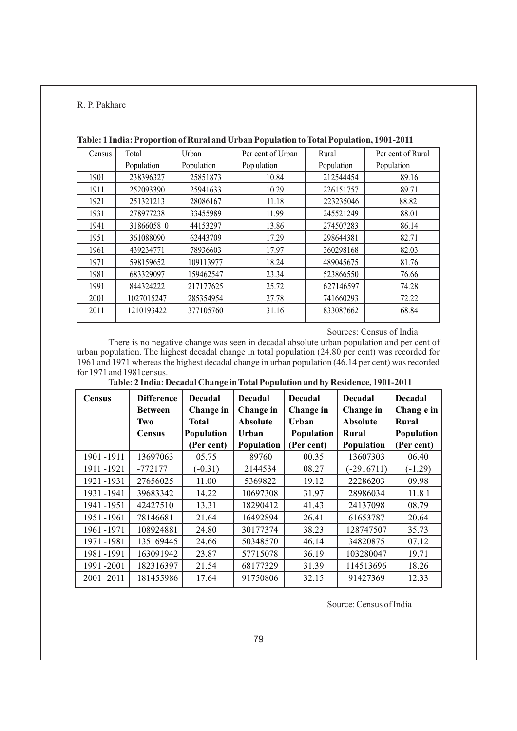| Census | Total      | Urban      | Per cent of Urban | Rural      | Per cent of Rural |  |
|--------|------------|------------|-------------------|------------|-------------------|--|
|        | Population | Population | Pop ulation       | Population | Population        |  |
| 1901   | 238396327  | 25851873   | 10.84             | 212544454  | 89.16             |  |
| 1911   | 252093390  | 25941633   | 10.29             | 226151757  | 89.71             |  |
| 1921   | 251321213  | 28086167   | 11.18             | 223235046  | 88.82             |  |
| 1931   | 278977238  | 33455989   | 11.99             | 245521249  | 88.01             |  |
| 1941   | 31866058 0 | 44153297   | 13.86             | 274507283  | 86.14             |  |
| 1951   | 361088090  | 62443709   | 17.29             | 298644381  | 82.71             |  |
| 1961   | 439234771  | 78936603   | 17.97             | 360298168  | 82.03             |  |
| 1971   | 598159652  | 109113977  | 18.24             | 489045675  | 81.76             |  |
| 1981   | 683329097  | 159462547  | 23.34             | 523866550  | 76.66             |  |
| 1991   | 844324222  | 217177625  | 25.72             | 627146597  | 74.28             |  |
| 2001   | 1027015247 | 285354954  | 27.78             | 741660293  | 72.22             |  |
| 2011   | 1210193422 | 377105760  | 31.16             | 833087662  | 68.84             |  |

# **Table: 1 India: Proportion of Rural and Urban Population to Total Population, 1901-2011**

Sources: Census of India

There is no negative change was seen in decadal absolute urban population and per cent of urban population. The highest decadal change in total population (24.80 per cent) was recorded for 1961 and 1971 whereas the highest decadal change in urban population (46.14 per cent) was recorded for 1971 and 1981census.

| <b>Census</b> | <b>Difference</b><br><b>Between</b><br>Two | <b>Decadal</b><br>Change in<br>Total | <b>Decadal</b><br>Change in<br><b>Absolute</b> | <b>Decadal</b><br>Change in<br>Urban | <b>Decadal</b><br>Change in<br><b>Absolute</b> | <b>Decadal</b><br>Chang e in<br>Rural |
|---------------|--------------------------------------------|--------------------------------------|------------------------------------------------|--------------------------------------|------------------------------------------------|---------------------------------------|
|               | <b>Census</b>                              | Population                           | Urban                                          | Population                           | Rural                                          | Population                            |
|               |                                            | (Per cent)                           | Population                                     | (Per cent)                           | Population                                     | (Per cent)                            |
| 1901-1911     | 13697063                                   | 05.75                                | 89760                                          | 00.35                                | 13607303                                       | 06.40                                 |
| 1911-1921     | $-772177$                                  | $(-0.31)$                            | 2144534                                        | 08.27                                | $(-2916711)$                                   | $(-1.29)$                             |
| 1921-1931     | 27656025                                   | 11.00                                | 5369822                                        | 19.12                                | 22286203                                       | 09.98                                 |
| 1931-1941     | 39683342                                   | 14.22                                | 10697308                                       | 31.97                                | 28986034                                       | 11.81                                 |
| 1941-1951     | 42427510                                   | 13.31                                | 18290412                                       | 41.43                                | 24137098                                       | 08.79                                 |
| 1951-1961     | 78146681                                   | 21.64                                | 16492894                                       | 26.41                                | 61653787                                       | 20.64                                 |
| 1961-1971     | 108924881                                  | 24.80                                | 30177374                                       | 38.23                                | 128747507                                      | 35.73                                 |
| 1971-1981     | 135169445                                  | 24.66                                | 50348570                                       | 46.14                                | 34820875                                       | 07.12                                 |
| 1981-1991     | 163091942                                  | 23.87                                | 57715078                                       | 36.19                                | 103280047                                      | 19.71                                 |
| 1991-2001     | 182316397                                  | 21.54                                | 68177329                                       | 31.39                                | 114513696                                      | 18.26                                 |
| 2001 2011     | 181455986                                  | 17.64                                | 91750806                                       | 32.15                                | 91427369                                       | 12.33                                 |

Source: Census of India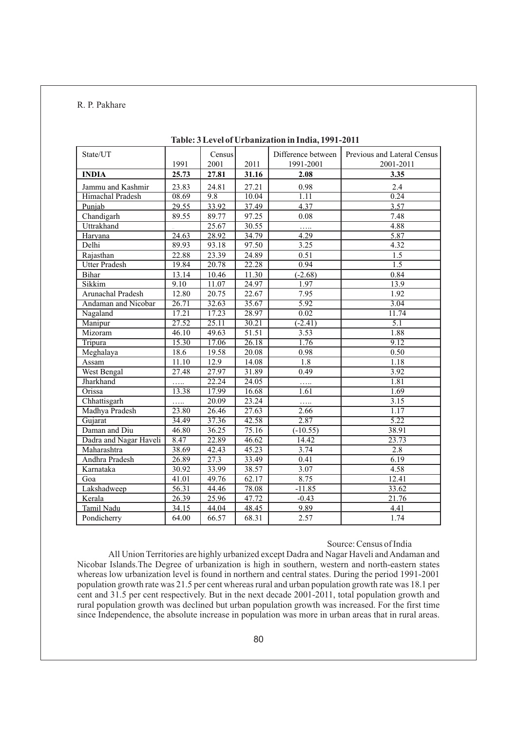| State/UT               |                    | Census            |                    | Difference between   | Previous and Lateral Census |
|------------------------|--------------------|-------------------|--------------------|----------------------|-----------------------------|
|                        | 1991               | 2001              | 2011               | 1991-2001            | 2001-2011                   |
| <b>INDIA</b>           | 25.73              | 27.81             | 31.16              | 2.08                 | 3.35                        |
| Jammu and Kashmir      | 23.83              | 24.81             | 27.21              | 0.98                 | 2.4                         |
| Himachal Pradesh       | 08.69              | 9.8               | 10.04              | 1.11                 | 0.24                        |
| Punjab                 | 29.55              | 33.92             | 37.49              | 4.37                 | 3.57                        |
| Chandigarh             | 89.55              | 89.77             | 97.25              | 0.08                 | 7.48                        |
| Uttrakhand             |                    | 25.67             | 30.55              | .                    | 4.88                        |
| Haryana                | 24.63              | 28.92             | 34.79              | 4.29                 | 5.87                        |
| Delhi                  | 89.93              | 93.18             | 97.50              | 3.25                 | 4.32                        |
| Rajasthan              | 22.88              | 23.39             | 24.89              | 0.51                 | 1.5                         |
| <b>Utter Pradesh</b>   | 19.84              | 20.78             | 22.28              | 0.94                 | 1.5                         |
| <b>Bihar</b>           | 13.14              | 10.46             | 11.30              | $(-2.68)$            | 0.84                        |
| Sikkim                 | 9.10               | 11.07             | 24.97              | 1.97                 | 13.9                        |
| Arunachal Pradesh      | 12.80              | 20.75             | 22.67              | 7.95                 | 1.92                        |
| Andaman and Nicobar    | 26.71              | 32.63             | 35.67              | 5.92                 | 3.04                        |
| Nagaland               | 17.21              | 17.23             | 28.97              | 0.02                 | 11.74                       |
| Manipur                | $\overline{27.52}$ | 25.11             | 30.21              | $\overline{(-2.41)}$ | $\overline{5.1}$            |
| Mizoram                | 46.10              | 49.63             | $\overline{51.51}$ | 3.53                 | 1.88                        |
| Tripura                | 15.30              | 17.06             | 26.18              | 1.76                 | 9.12                        |
| Meghalaya              | 18.6               | 19.58             | 20.08              | 0.98                 | 0.50                        |
| Assam                  | 11.10              | 12.9              | 14.08              | 1.8                  | 1.18                        |
| <b>West Bengal</b>     | 27.48              | 27.97             | 31.89              | 0.49                 | 3.92                        |
| Jharkhand              | .                  | 22.24             | 24.05              | .                    | 1.81                        |
| Orissa                 | 13.38              | 17.99             | 16.68              | 1.61                 | 1.69                        |
| Chhattisgarh           | .                  | 20.09             | 23.24              | .                    | 3.15                        |
| Madhya Pradesh         | 23.80              | 26.46             | 27.63              | 2.66                 | 1.17                        |
| Gujarat                | 34.49              | 37.36             | 42.58              | 2.87                 | $\overline{5.22}$           |
| Daman and Diu          | 46.80              | 36.25             | 75.16              | $(-10.55)$           | 38.91                       |
| Dadra and Nagar Haveli | 8.47               | 22.89             | 46.62              | 14.42                | 23.73                       |
| Maharashtra            | 38.69              | 42.43             | 45.23              | 3.74                 | 2.8                         |
| Andhra Pradesh         | 26.89              | $\overline{27.3}$ | 33.49              | 0.41                 | 6.19                        |
| Karnataka              | 30.92              | 33.99             | 38.57              | 3.07                 | 4.58                        |
| Goa                    | 41.01              | 49.76             | 62.17              | 8.75                 | 12.41                       |
| Lakshadweep            | 56.31              | 44.46             | 78.08              | $-11.85$             | 33.62                       |
| Kerala                 | 26.39              | 25.96             | 47.72              | $-0.43$              | 21.76                       |
| Tamil Nadu             | 34.15              | 44.04             | 48.45              | 9.89                 | 4.41                        |
| Pondicherry            | 64.00              | 66.57             | 68.31              | 2.57                 | 1.74                        |

### **Table: 3 Level of Urbanization in India, 1991-2011**

### Source: Census of India

All Union Territories are highly urbanized except Dadra and Nagar Haveli and Andaman and Nicobar Islands.The Degree of urbanization is high in southern, western and north-eastern states whereas low urbanization level is found in northern and central states. During the period 1991-2001 population growth rate was 21.5 per cent whereas rural and urban population growth rate was 18.1 per cent and 31.5 per cent respectively. But in the next decade 2001-2011, total population growth and rural population growth was declined but urban population growth was increased. For the first time since Independence, the absolute increase in population was more in urban areas that in rural areas.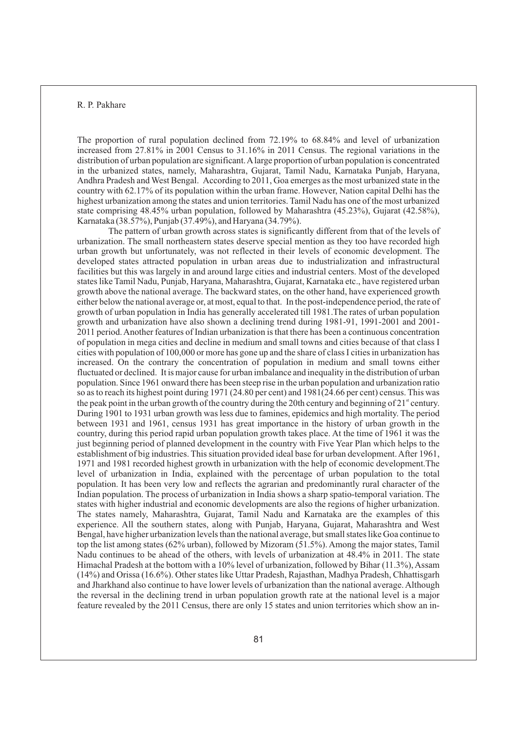The proportion of rural population declined from 72.19% to 68.84% and level of urbanization increased from 27.81% in 2001 Census to 31.16% in 2011 Census. The regional variations in the distribution of urban population are significant. Alarge proportion of urban population is concentrated in the urbanized states, namely, Maharashtra, Gujarat, Tamil Nadu, Karnataka Punjab, Haryana, Andhra Pradesh and West Bengal. According to 2011, Goa emerges as the most urbanized state in the country with 62.17% of its population within the urban frame. However, Nation capital Delhi has the highest urbanization among the states and union territories. Tamil Nadu has one of the most urbanized state comprising 48.45% urban population, followed by Maharashtra (45.23%), Gujarat (42.58%), Karnataka (38.57%), Punjab (37.49%), and Haryana (34.79%).

The pattern of urban growth across states is significantly different from that of the levels of urbanization. The small northeastern states deserve special mention as they too have recorded high urban growth but unfortunately, was not reflected in their levels of economic development. The developed states attracted population in urban areas due to industrialization and infrastructural facilities but this was largely in and around large cities and industrial centers. Most of the developed states like Tamil Nadu, Punjab, Haryana, Maharashtra, Gujarat, Karnataka etc., have registered urban growth above the national average. The backward states, on the other hand, have experienced growth either below the national average or, at most, equal to that. In the post-independence period, the rate of growth of urban population in India has generally accelerated till 1981.The rates of urban population growth and urbanization have also shown a declining trend during 1981-91, 1991-2001 and 2001- 2011 period. Another features of Indian urbanization is that there has been a continuous concentration of population in mega cities and decline in medium and small towns and cities because of that class I cities with population of 100,000 or more has gone up and the share of class I cities in urbanization has increased. On the contrary the concentration of population in medium and small towns either fluctuated or declined. It is major cause for urban imbalance and inequality in the distribution of urban population. Since 1961 onward there has been steep rise in the urban population and urbanization ratio so as to reach its highest point during 1971 (24.80 per cent) and 1981(24.66 per cent) census. This was the peak point in the urban growth of the country during the 20th century and beginning of  $21<sup>st</sup>$  century. During 1901 to 1931 urban growth was less due to famines, epidemics and high mortality. The period between 1931 and 1961, census 1931 has great importance in the history of urban growth in the country, during this period rapid urban population growth takes place. At the time of 1961 it was the just beginning period of planned development in the country with Five Year Plan which helps to the establishment of big industries. This situation provided ideal base for urban development. After 1961, 1971 and 1981 recorded highest growth in urbanization with the help of economic development.The level of urbanization in India, explained with the percentage of urban population to the total population. It has been very low and reflects the agrarian and predominantly rural character of the Indian population. The process of urbanization in India shows a sharp spatio-temporal variation. The states with higher industrial and economic developments are also the regions of higher urbanization. The states namely, Maharashtra, Gujarat, Tamil Nadu and Karnataka are the examples of this experience. All the southern states, along with Punjab, Haryana, Gujarat, Maharashtra and West Bengal, have higher urbanization levels than the national average, but small states like Goa continue to top the list among states (62% urban), followed by Mizoram (51.5%). Among the major states, Tamil Nadu continues to be ahead of the others, with levels of urbanization at 48.4% in 2011. The state Himachal Pradesh at the bottom with a 10% level of urbanization, followed by Bihar (11.3%), Assam (14%) and Orissa (16.6%). Other states like Uttar Pradesh, Rajasthan, Madhya Pradesh, Chhattisgarh and Jharkhand also continue to have lower levels of urbanization than the national average. Although the reversal in the declining trend in urban population growth rate at the national level is a major feature revealed by the 2011 Census, there are only 15 states and union territories which show an in-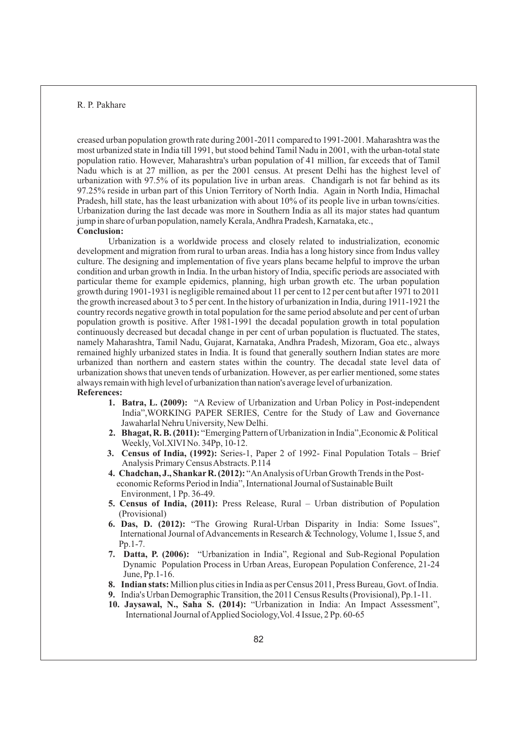creased urban population growth rate during 2001-2011 compared to 1991-2001. Maharashtra was the most urbanized state in India till 1991, but stood behind Tamil Nadu in 2001, with the urban-total state population ratio. However, Maharashtra's urban population of 41 million, far exceeds that of Tamil Nadu which is at 27 million, as per the 2001 census. At present Delhi has the highest level of urbanization with 97.5% of its population live in urban areas. Chandigarh is not far behind as its 97.25% reside in urban part of this Union Territory of North India. Again in North India, Himachal Pradesh, hill state, has the least urbanization with about 10% of its people live in urban towns/cities. Urbanization during the last decade was more in Southern India as all its major states had quantum jump in share of urban population, namely Kerala, Andhra Pradesh, Karnataka, etc., **Conclusion:**

Urbanization is a worldwide process and closely related to industrialization, economic development and migration from rural to urban areas. India has a long history since from Indus valley culture. The designing and implementation of five years plans became helpful to improve the urban condition and urban growth in India. In the urban history of India, specific periods are associated with particular theme for example epidemics, planning, high urban growth etc. The urban population growth during 1901-1931 is negligible remained about 11 per cent to 12 per cent but after 1971 to 2011 the growth increased about 3 to 5 per cent. In the history of urbanization in India, during 1911-1921 the country records negative growth in total population for the same period absolute and per cent of urban population growth is positive. After 1981-1991 the decadal population growth in total population continuously decreased but decadal change in per cent of urban population is fluctuated. The states, namely Maharashtra, Tamil Nadu, Gujarat, Karnataka, Andhra Pradesh, Mizoram, Goa etc., always remained highly urbanized states in India. It is found that generally southern Indian states are more urbanized than northern and eastern states within the country. The decadal state level data of urbanization shows that uneven tends of urbanization. However, as per earlier mentioned, some states always remain with high level of urbanization than nation's average level of urbanization. **References:** 

- **1. Batra, L. (2009):** "A Review of Urbanization and Urban Policy in Post-independent India",WORKING PAPER SERIES, Centre for the Study of Law and Governance Jawaharlal Nehru University, New Delhi.
- **2. Bhagat, R. B. (2011):** "Emerging Pattern of Urbanization in India",Economic & Political Weekly, Vol.XlVI No. 34Pp, 10-12.
- **3. Census of India, (1992):** Series-1, Paper 2 of 1992- Final Population Totals Brief Analysis Primary Census Abstracts. P.114
- **4. Chadchan, J., ShankarR. (2012):** "An Analysis of Urban Growth Trends in the Post economic Reforms Period in India", International Journal of Sustainable Built Environment, 1 Pp. 36-49.
- **5. Census of India, (2011):** Press Release, Rural Urban distribution of Population (Provisional)
- **6. Das, D. (2012):** "The Growing Rural-Urban Disparity in India: Some Issues", International Journal of Advancements in Research & Technology, Volume 1, Issue 5, and Pp.1-7.
- **7. Datta, P. (2006):** "Urbanization in India", Regional and Sub-Regional Population Dynamic Population Process in Urban Areas, European Population Conference, 21-24 June, Pp.1-16.
- **8. Indian stats:** Million plus cities in India as per Census 2011, Press Bureau, Govt. of India.
- **9.** India's Urban Demographic Transition, the 2011 Census Results (Provisional), Pp.1-11.
- **10. Jaysawal, N., Saha S. (2014):** "Urbanization in India: An Impact Assessment", International Journal of Applied Sociology,Vol. 4 Issue, 2 Pp. 60-65